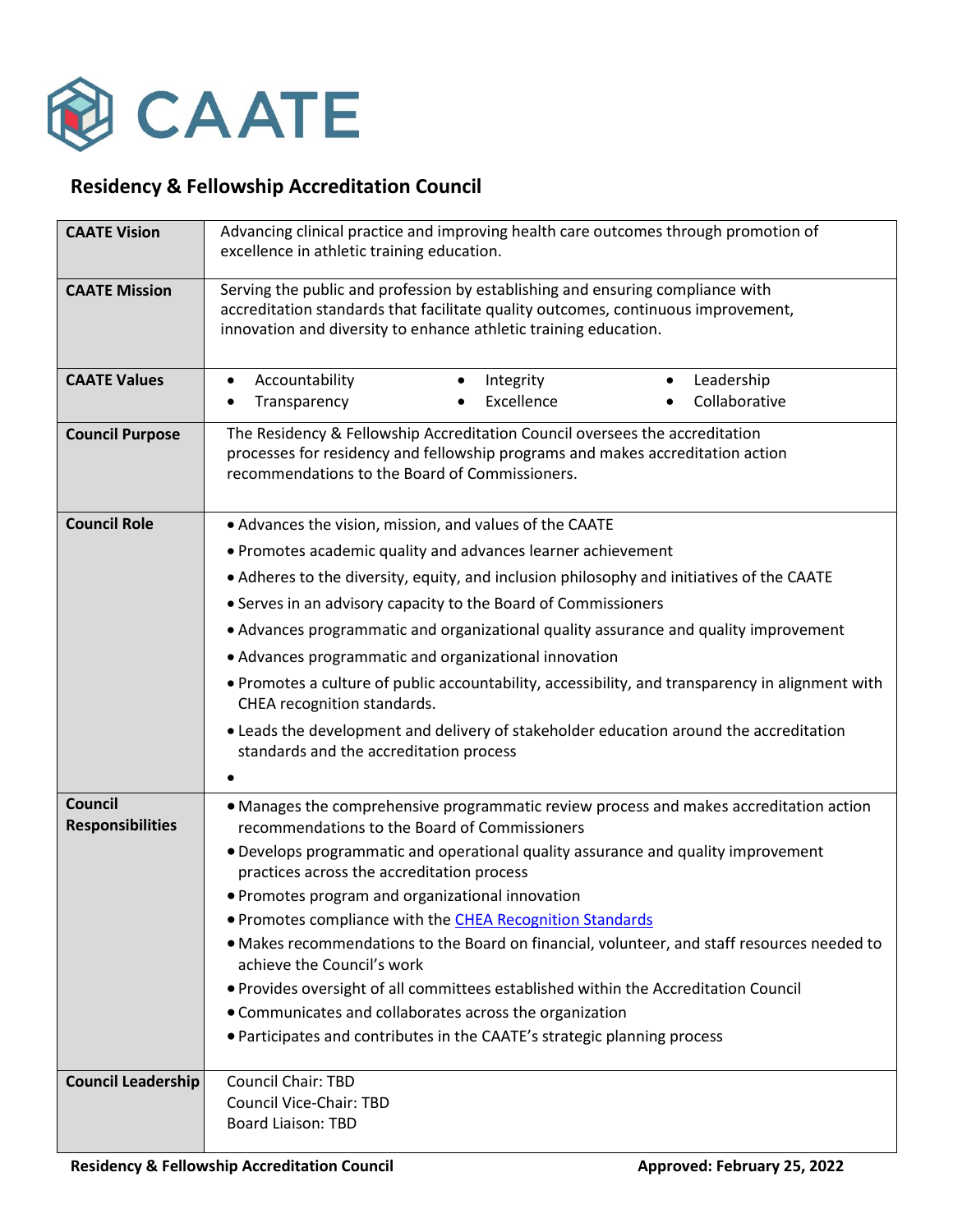

## **Residency & Fellowship Accreditation Council**

| <b>CAATE Vision</b>                | Advancing clinical practice and improving health care outcomes through promotion of<br>excellence in athletic training education.                                                                                                       |
|------------------------------------|-----------------------------------------------------------------------------------------------------------------------------------------------------------------------------------------------------------------------------------------|
| <b>CAATE Mission</b>               | Serving the public and profession by establishing and ensuring compliance with<br>accreditation standards that facilitate quality outcomes, continuous improvement,<br>innovation and diversity to enhance athletic training education. |
| <b>CAATE Values</b>                | Leadership<br>Accountability<br>Integrity<br>$\bullet$<br>$\bullet$<br>$\bullet$<br>Excellence<br>Collaborative<br>Transparency<br>$\bullet$<br>٠                                                                                       |
| <b>Council Purpose</b>             | The Residency & Fellowship Accreditation Council oversees the accreditation<br>processes for residency and fellowship programs and makes accreditation action<br>recommendations to the Board of Commissioners.                         |
| <b>Council Role</b>                | • Advances the vision, mission, and values of the CAATE                                                                                                                                                                                 |
|                                    | • Promotes academic quality and advances learner achievement                                                                                                                                                                            |
|                                    | • Adheres to the diversity, equity, and inclusion philosophy and initiatives of the CAATE                                                                                                                                               |
|                                    | • Serves in an advisory capacity to the Board of Commissioners                                                                                                                                                                          |
|                                    | • Advances programmatic and organizational quality assurance and quality improvement                                                                                                                                                    |
|                                    | • Advances programmatic and organizational innovation                                                                                                                                                                                   |
|                                    | . Promotes a culture of public accountability, accessibility, and transparency in alignment with<br>CHEA recognition standards.                                                                                                         |
|                                    | • Leads the development and delivery of stakeholder education around the accreditation<br>standards and the accreditation process                                                                                                       |
|                                    |                                                                                                                                                                                                                                         |
| Council<br><b>Responsibilities</b> | • Manages the comprehensive programmatic review process and makes accreditation action<br>recommendations to the Board of Commissioners                                                                                                 |
|                                    | • Develops programmatic and operational quality assurance and quality improvement<br>practices across the accreditation process                                                                                                         |
|                                    | • Promotes program and organizational innovation                                                                                                                                                                                        |
|                                    | • Promotes compliance with the CHEA Recognition Standards                                                                                                                                                                               |
|                                    | . Makes recommendations to the Board on financial, volunteer, and staff resources needed to<br>achieve the Council's work                                                                                                               |
|                                    | . Provides oversight of all committees established within the Accreditation Council                                                                                                                                                     |
|                                    | • Communicates and collaborates across the organization                                                                                                                                                                                 |
|                                    | • Participates and contributes in the CAATE's strategic planning process                                                                                                                                                                |
| <b>Council Leadership</b>          | <b>Council Chair: TBD</b><br>Council Vice-Chair: TBD                                                                                                                                                                                    |
|                                    | <b>Board Liaison: TBD</b>                                                                                                                                                                                                               |